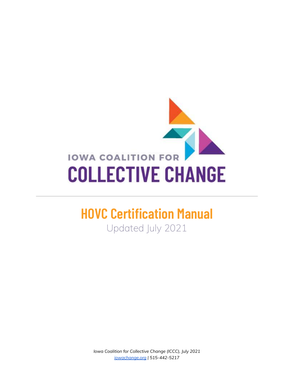

# **HOVC Certification Manual**

Updated July 2021

*Iowa Coalition for Collective Change (ICCC), July 2021 [iowachange.org](http://iowachange.org) | 515-442-5217*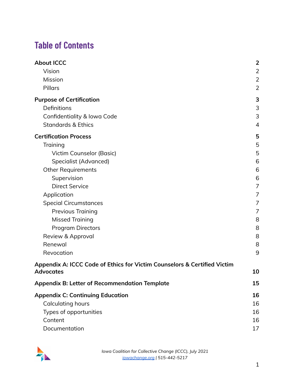## **Table of Contents**

| <b>About ICCC</b>                                                        | $\overline{2}$ |
|--------------------------------------------------------------------------|----------------|
| Vision                                                                   | $\overline{2}$ |
| Mission                                                                  | 2              |
| Pillars                                                                  | $\overline{2}$ |
| <b>Purpose of Certification</b>                                          | 3              |
| Definitions                                                              | 3              |
| Confidentiality & Iowa Code                                              | 3              |
| <b>Standards &amp; Ethics</b>                                            | 4              |
| <b>Certification Process</b>                                             | 5              |
| Training                                                                 | 5              |
| Victim Counselor (Basic)                                                 | 5              |
| Specialist (Advanced)                                                    | 6              |
| <b>Other Requirements</b>                                                | 6              |
| Supervision                                                              | 6              |
| <b>Direct Service</b>                                                    | 7              |
| Application                                                              | 7              |
| <b>Special Circumstances</b>                                             | 7              |
| <b>Previous Training</b>                                                 | 7              |
| <b>Missed Training</b>                                                   | 8              |
| <b>Program Directors</b>                                                 | 8              |
| Review & Approval                                                        | 8              |
| Renewal                                                                  | 8              |
| Revocation                                                               | 9              |
| Appendix A: ICCC Code of Ethics for Victim Counselors & Certified Victim |                |
| <b>Advocates</b>                                                         | 10             |
| <b>Appendix B: Letter of Recommendation Template</b>                     | 15             |
| <b>Appendix C: Continuing Education</b>                                  | 16             |
| <b>Calculating hours</b>                                                 | 16             |
| Types of opportunities                                                   | 16             |
| Content                                                                  | 16             |
| Documentation                                                            | 17             |

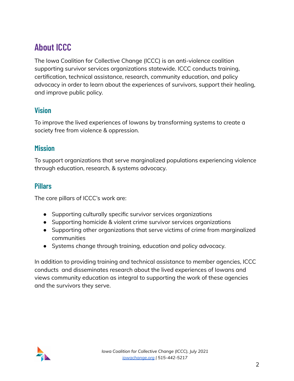## <span id="page-2-0"></span>**About ICCC**

The Iowa Coalition for Collective Change (ICCC) is an anti-violence coalition supporting survivor services organizations statewide. ICCC conducts training, certification, technical assistance, research, community education, and policy advocacy in order to learn about the experiences of survivors, support their healing, and improve public policy.

#### <span id="page-2-1"></span>**Vision**

To improve the lived experiences of Iowans by transforming systems to create a society free from violence & oppression.

#### <span id="page-2-2"></span>**Mission**

To support organizations that serve marginalized populations experiencing violence through education, research, & systems advocacy.

#### <span id="page-2-3"></span>**Pillars**

The core pillars of ICCC's work are:

- Supporting culturally specific survivor services organizations
- Supporting homicide & violent crime survivor services organizations
- Supporting other organizations that serve victims of crime from marginalized communities
- Systems change through training, education and policy advocacy.

In addition to providing training and technical assistance to member agencies, ICCC conducts and disseminates research about the lived experiences of Iowans and views community education as integral to supporting the work of these agencies and the survivors they serve.

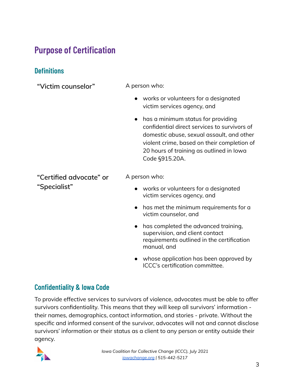## <span id="page-3-0"></span>**Purpose of Certification**

## <span id="page-3-1"></span>**Definitions**

| "Victim counselor"                      | A person who:                                                                                                                                                                                                                                             |  |
|-----------------------------------------|-----------------------------------------------------------------------------------------------------------------------------------------------------------------------------------------------------------------------------------------------------------|--|
|                                         | works or volunteers for a designated<br>victim services agency, and                                                                                                                                                                                       |  |
|                                         | has a minimum status for providing<br>$\bullet$<br>confidential direct services to survivors of<br>domestic abuse, sexual assault, and other<br>violent crime, based on their completion of<br>20 hours of training as outlined in lowa<br>Code §915.20A. |  |
| "Certified advocate" or<br>"Specialist" | A person who:                                                                                                                                                                                                                                             |  |
|                                         | • works or volunteers for a designated<br>victim services agency, and                                                                                                                                                                                     |  |
|                                         | has met the minimum requirements for a<br>$\bullet$<br>victim counselor, and                                                                                                                                                                              |  |
|                                         | has completed the advanced training,<br>supervision, and client contact<br>requirements outlined in the certification<br>manual, and                                                                                                                      |  |
|                                         | whose application has been approved by                                                                                                                                                                                                                    |  |

### <span id="page-3-2"></span>**Confidentiality & Iowa Code**

To provide effective services to survivors of violence, advocates must be able to offer survivors confidentiality. This means that they will keep all survivors' information their names, demographics, contact information, and stories - private. Without the specific and informed consent of the survivor, advocates will not and cannot disclose survivors' information or their status as a client to any person or entity outside their agency.



ICCC's certification committee.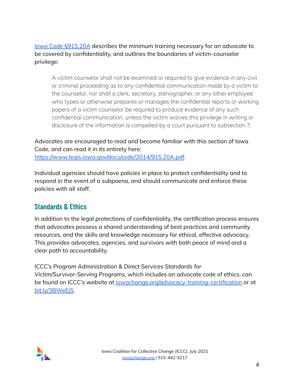Iowa Code [§915.20A](https://www.legis.iowa.gov/docs/code/2014/915.20A.pdf) describes the minimum training necessary for an advocate to be covered by confidentiality, and outlines the boundaries of victim-counselor privilege:

A victim counselor shall not be examined or required to give evidence in any civil or criminal proceeding as to any confidential communication made by a victim to the counselor, nor shall a clerk, secretary, stenographer, or any other employee who types or otherwise prepares or manages the confidential reports or working papers of a victim counselor be required to produce evidence of any such confidential communication, unless the victim waives this privilege in writing or disclosure of the information is compelled by a court pursuant to subsection 7.

Advocates are encouraged to read and become familiar with this section of Iowa Code, and can read it in its entirety here:

<https://www.legis.iowa.gov/docs/code/2014/915.20A.pdf>.

Individual agencies should have policies in place to protect confidentiality and to respond in the event of a subpoena, and should communicate and enforce these policies with all staff.

### <span id="page-4-0"></span>**Standards & Ethics**

In addition to the legal protections of confidentiality, the certification process ensures that advocates possess a shared understanding of best practices and community resources, and the skills and knowledge necessary for ethical, effective advocacy. This provides advocates, agencies, and survivors with both peace of mind and a clear path to accountability.

ICCC's *Program Administration & Direct Services Standards for Victim/Survivor-Serving Programs*, which includes an advocate code of ethics, can be found on ICCC's website at [iowachange.org/advocacy-training-certification](https://www.iowachange.org/advocacy-training-certification) or at [bit.ly/3BWeEj5](https://bit.ly/3BWeEj5).

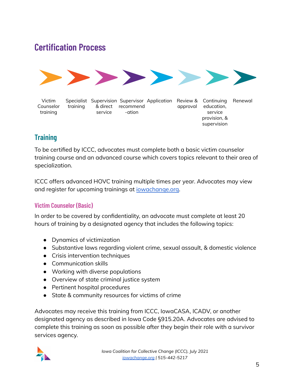## <span id="page-5-0"></span>**Certification Process**



Victim Counselor training Specialist Supervision Supervisor Application Review & Continuing Renewal training & direct recommend service -ation approval education, service provision, & supervision

## <span id="page-5-1"></span>**Training**

To be certified by ICCC, advocates must complete both a basic victim counselor training course and an advanced course which covers topics relevant to their area of specialization.

ICCC offers advanced HOVC training multiple times per year. Advocates may view and register for upcoming trainings at [iowachange.org.](http://iowachange.org)

#### <span id="page-5-2"></span>**Victim Counselor (Basic)**

In order to be covered by confidentiality, an advocate must complete at least 20 hours of training by a designated agency that includes the following topics:

- Dynamics of victimization
- Substantive laws regarding violent crime, sexual assault, & domestic violence
- Crisis intervention techniques
- Communication skills
- Working with diverse populations
- Overview of state criminal justice system
- Pertinent hospital procedures
- State & community resources for victims of crime

Advocates may receive this training from ICCC, IowaCASA, ICADV, or another designated agency as described in Iowa Code §915.20A. Advocates are advised to complete this training as soon as possible after they begin their role with a survivor services agency.

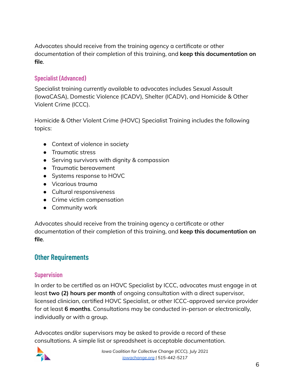Advocates should receive from the training agency a certificate or other documentation of their completion of this training, and **keep this documentation on file**.

#### <span id="page-6-0"></span>**Specialist (Advanced)**

Specialist training currently available to advocates includes Sexual Assault (IowaCASA), Domestic Violence (ICADV), Shelter (ICADV), and Homicide & Other Violent Crime (ICCC).

Homicide & Other Violent Crime (HOVC) Specialist Training includes the following topics:

- Context of violence in society
- Traumatic stress
- Serving survivors with dignity & compassion
- Traumatic bereavement
- Systems response to HOVC
- Vicarious trauma
- Cultural responsiveness
- Crime victim compensation
- Community work

Advocates should receive from the training agency a certificate or other documentation of their completion of this training, and **keep this documentation on file**.

#### <span id="page-6-1"></span>**Other Requirements**

#### <span id="page-6-2"></span>**Supervision**

In order to be certified as an HOVC Specialist by ICCC, advocates must engage in at least **two (2) hours per month** of ongoing consultation with a direct supervisor, licensed clinician, certified HOVC Specialist, or other ICCC-approved service provider for at least **6 months**. Consultations may be conducted in-person or electronically, individually or with a group.

Advocates and/or supervisors may be asked to provide a record of these consultations. A simple list or spreadsheet is acceptable documentation.

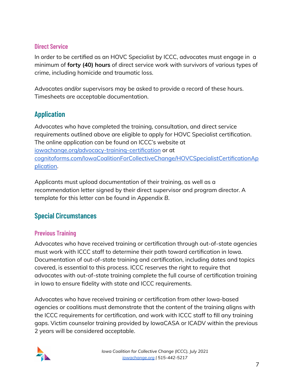#### <span id="page-7-0"></span>**Direct Service**

In order to be certified as an HOVC Specialist by ICCC, advocates must engage in a minimum of **forty (40) hours** of direct service work with survivors of various types of crime, including homicide and traumatic loss.

Advocates and/or supervisors may be asked to provide a record of these hours. Timesheets are acceptable documentation.

## <span id="page-7-1"></span>**Application**

Advocates who have completed the training, consultation, and direct service requirements outlined above are eligible to apply for HOVC Specialist certification. The online application can be found on ICCC's website at [iowachange.org/advocacy-training-certification](https://www.iowachange.org/advocacy-training-certification) or at [cognitoforms.com/IowaCoalitionForCollectiveChange/HOVCSpecialistCertificationAp](https://www.cognitoforms.com/IowaCoalitionForCollectiveChange/HOVCSpecialistCertificationApplication) [plication.](https://www.cognitoforms.com/IowaCoalitionForCollectiveChange/HOVCSpecialistCertificationApplication)

Applicants must upload documentation of their training, as well as a recommendation letter signed by their direct supervisor and program director. A template for this letter can be found in *Appendix B*.

## <span id="page-7-2"></span>**Special Circumstances**

#### <span id="page-7-3"></span>**Previous Training**

Advocates who have received training or certification through out-of-state agencies must work with ICCC staff to determine their path toward certification in Iowa. Documentation of out-of-state training and certification, including dates and topics covered, is essential to this process. ICCC reserves the right to require that advocates with out-of-state training complete the full course of certification training in Iowa to ensure fidelity with state and ICCC requirements.

Advocates who have received training or certification from other Iowa-based agencies or coalitions must demonstrate that the content of the training aligns with the ICCC requirements for certification, and work with ICCC staff to fill any training gaps. Victim counselor training provided by IowaCASA or ICADV within the previous 2 years will be considered acceptable.

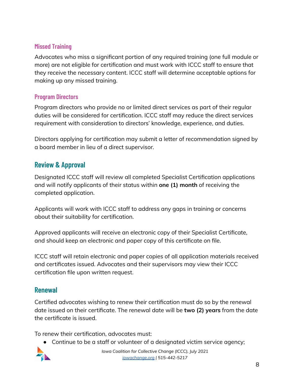#### <span id="page-8-0"></span>**Missed Training**

Advocates who miss a significant portion of any required training (one full module or more) are not eligible for certification and must work with ICCC staff to ensure that they receive the necessary content. ICCC staff will determine acceptable options for making up any missed training.

#### <span id="page-8-1"></span>**Program Directors**

Program directors who provide no or limited direct services as part of their regular duties will be considered for certification. ICCC staff may reduce the direct services requirement with consideration to directors' knowledge, experience, and duties.

Directors applying for certification may submit a letter of recommendation signed by a board member in lieu of a direct supervisor.

### <span id="page-8-2"></span>**Review & Approval**

Designated ICCC staff will review all completed Specialist Certification applications and will notify applicants of their status within **one (1) month** of receiving the completed application.

Applicants will work with ICCC staff to address any gaps in training or concerns about their suitability for certification.

Approved applicants will receive an electronic copy of their Specialist Certificate, and should keep an electronic and paper copy of this certificate on file.

ICCC staff will retain electronic and paper copies of all application materials received and certificates issued. Advocates and their supervisors may view their ICCC certification file upon written request.

#### <span id="page-8-3"></span>**Renewal**

Certified advocates wishing to renew their certification must do so by the renewal date issued on their certificate. The renewal date will be **two (2) years** from the date the certificate is issued.

To renew their certification, advocates must:

● Continue to be a staff or volunteer of a designated victim service agency;

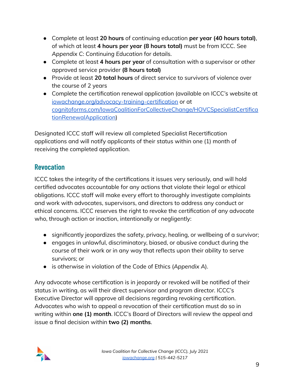- Complete at least **20 hours** of continuing education **per year (40 hours total)**, of which at least **4 hours per year (8 hours total)** must be from ICCC. See *Appendix C: Continuing Education* for details.
- Complete at least **4 hours per year** of consultation with a supervisor or other approved service provider **(8 hours total)**
- Provide at least **20 total hours** of direct service to survivors of violence over the course of 2 years
- Complete the certification renewal application (available on ICCC's website at [iowachange.org/advocacy-training-certification](https://www.iowachange.org/advocacy-training-certification) or at [cognitoforms.com/IowaCoalitionForCollectiveChange/HOVCSpecialistCertifica](https://www.cognitoforms.com/IowaCoalitionForCollectiveChange/HOVCSpecialistCertificationRenewalApplication) [tionRenewalApplication\)](https://www.cognitoforms.com/IowaCoalitionForCollectiveChange/HOVCSpecialistCertificationRenewalApplication)

Designated ICCC staff will review all completed Specialist Recertification applications and will notify applicants of their status within one (1) month of receiving the completed application.

### <span id="page-9-0"></span>**Revocation**

ICCC takes the integrity of the certifications it issues very seriously, and will hold certified advocates accountable for any actions that violate their legal or ethical obligations. ICCC staff will make every effort to thoroughly investigate complaints and work with advocates, supervisors, and directors to address any conduct or ethical concerns. ICCC reserves the right to revoke the certification of any advocate who, through action or inaction, intentionally or negligently:

- significantly jeopardizes the safety, privacy, healing, or wellbeing of a survivor;
- engages in unlawful, discriminatory, biased, or abusive conduct during the course of their work or in any way that reflects upon their ability to serve survivors; or
- is otherwise in violation of the Code of Ethics (*Appendix A*).

Any advocate whose certification is in jeopardy or revoked will be notified of their status in writing, as will their direct supervisor and program director. ICCC's Executive Director will approve all decisions regarding revoking certification. Advocates who wish to appeal a revocation of their certification must do so in writing within **one (1) month**. ICCC's Board of Directors will review the appeal and issue a final decision within **two (2) months**.

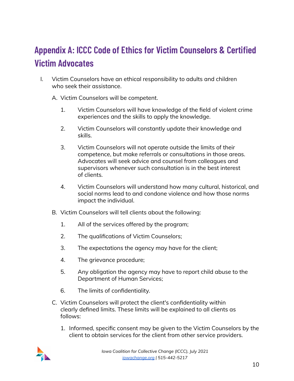## <span id="page-10-0"></span>**Appendix A: ICCC Code of Ethics for Victim Counselors & Certified Victim Advocates**

- I. Victim Counselors have an ethical responsibility to adults and children who seek their assistance.
	- A. Victim Counselors will be competent.
		- 1. Victim Counselors will have knowledge of the field of violent crime experiences and the skills to apply the knowledge.
		- 2. Victim Counselors will constantly update their knowledge and skills.
		- 3. Victim Counselors will not operate outside the limits of their competence, but make referrals or consultations in those areas. Advocates will seek advice and counsel from colleagues and supervisors whenever such consultation is in the best interest of clients.
		- 4. Victim Counselors will understand how many cultural, historical, and social norms lead to and condone violence and how those norms impact the individual.
	- B. Victim Counselors will tell clients about the following:
		- 1. All of the services offered by the program;
		- 2. The qualifications of Victim Counselors;
		- 3. The expectations the agency may have for the client;
		- 4. The grievance procedure;
		- 5. Any obligation the agency may have to report child abuse to the Department of Human Services;
		- 6. The limits of confidentiality.
	- C. Victim Counselors will protect the client's confidentiality within clearly defined limits. These limits will be explained to all clients as follows:
		- 1. Informed, specific consent may be given to the Victim Counselors by the client to obtain services for the client from other service providers.

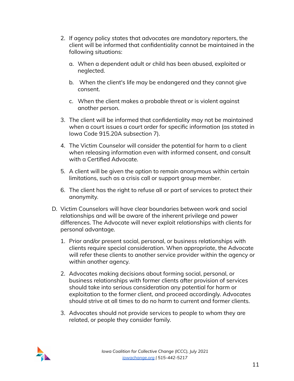- 2. If agency policy states that advocates are mandatory reporters, the client will be informed that confidentiality cannot be maintained in the following situations:
	- a. When a dependent adult or child has been abused, exploited or neglected.
	- b. When the client's life may be endangered and they cannot give consent.
	- c. When the client makes a probable threat or is violent against another person.
- 3. The client will be informed that confidentiality may not be maintained when a court issues a court order for specific information (as stated in Iowa Code 915.20A subsection 7).
- 4. The Victim Counselor will consider the potential for harm to a client when releasing information even with informed consent, and consult with a Certified Advocate.
- 5. A client will be given the option to remain anonymous within certain limitations, such as a crisis call or support group member.
- 6. The client has the right to refuse all or part of services to protect their anonymity.
- D. Victim Counselors will have clear boundaries between work and social relationships and will be aware of the inherent privilege and power differences. The Advocate will never exploit relationships with clients for personal advantage.
	- 1. Prior and/or present social, personal, or business relationships with clients require special consideration. When appropriate, the Advocate will refer these clients to another service provider within the agency or within another agency.
	- 2. Advocates making decisions about forming social, personal, or business relationships with former clients after provision of services should take into serious consideration any potential for harm or exploitation to the former client, and proceed accordingly. Advocates should strive at all times to do no harm to current and former clients.
	- 3. Advocates should not provide services to people to whom they are related, or people they consider family.

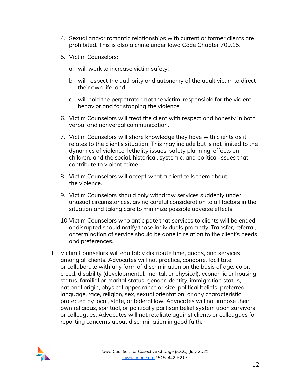- 4. Sexual and/or romantic relationships with current or former clients are prohibited. This is also a crime under Iowa Code Chapter 709.15.
- 5. Victim Counselors:
	- a. will work to increase victim safety;
	- b. will respect the authority and autonomy of the adult victim to direct their own life; and
	- c. will hold the perpetrator, not the victim, responsible for the violent behavior and for stopping the violence.
- 6. Victim Counselors will treat the client with respect and honesty in both verbal and nonverbal communication.
- 7. Victim Counselors will share knowledge they have with clients as it relates to the client's situation. This may include but is not limited to the dynamics of violence, lethality issues, safety planning, effects on children, and the social, historical, systemic, and political issues that contribute to violent crime.
- 8. Victim Counselors will accept what a client tells them about the violence.
- 9. Victim Counselors should only withdraw services suddenly under unusual circumstances, giving careful consideration to all factors in the situation and taking care to minimize possible adverse effects.
- 10.Victim Counselors who anticipate that services to clients will be ended or disrupted should notify those individuals promptly. Transfer, referral, or termination of service should be done in relation to the client's needs and preferences.
- E. Victim Counselors will equitably distribute time, goods, and services among all clients. Advocates will not practice, condone, facilitate, or collaborate with any form of discrimination on the basis of age, color, creed, disability (developmental, mental, or physical), economic or housing status, familial or marital status, gender identity, immigration status, national origin, physical appearance or size, political beliefs, preferred language, race, religion, sex, sexual orientation, or any characteristic protected by local, state, or federal law. Advocates will not impose their own religious, spiritual, or politically partisan belief system upon survivors or colleagues. Advocates will not retaliate against clients or colleagues for reporting concerns about discrimination in good faith.

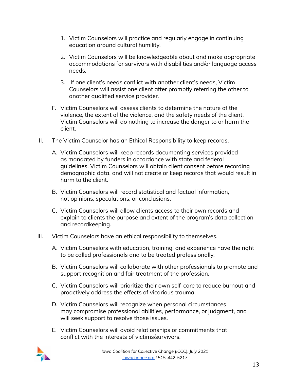- 1. Victim Counselors will practice and regularly engage in continuing education around cultural humility.
- 2. Victim Counselors will be knowledgeable about and make appropriate accommodations for survivors with disabilities and/or language access needs.
- 3. If one client's needs conflict with another client's needs, Victim Counselors will assist one client after promptly referring the other to another qualified service provider.
- F. Victim Counselors will assess clients to determine the nature of the violence, the extent of the violence, and the safety needs of the client. Victim Counselors will do nothing to increase the danger to or harm the client.
- II. The Victim Counselor has an Ethical Responsibility to keep records.
	- A. Victim Counselors will keep records documenting services provided as mandated by funders in accordance with state and federal guidelines. Victim Counselors will obtain client consent before recording demographic data, and will not create or keep records that would result in harm to the client.
	- B. Victim Counselors will record statistical and factual information, not opinions, speculations, or conclusions.
	- C. Victim Counselors will allow clients access to their own records and explain to clients the purpose and extent of the program's data collection and recordkeeping.
- III. Victim Counselors have an ethical responsibility to themselves.
	- A. Victim Counselors with education, training, and experience have the right to be called professionals and to be treated professionally.
	- B. Victim Counselors will collaborate with other professionals to promote and support recognition and fair treatment of the profession.
	- C. Victim Counselors will prioritize their own self-care to reduce burnout and proactively address the effects of vicarious trauma.
	- D. Victim Counselors will recognize when personal circumstances may compromise professional abilities, performance, or judgment, and will seek support to resolve those issues.
	- E. Victim Counselors will avoid relationships or commitments that conflict with the interests of victims/survivors.

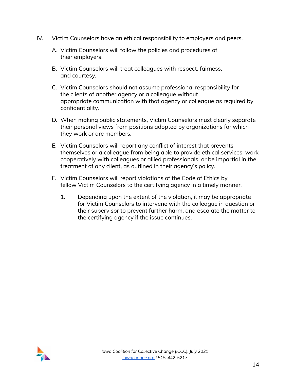- IV. Victim Counselors have an ethical responsibility to employers and peers.
	- A. Victim Counselors will follow the policies and procedures of their employers.
	- B. Victim Counselors will treat colleagues with respect, fairness, and courtesy.
	- C. Victim Counselors should not assume professional responsibility for the clients of another agency or a colleague without appropriate communication with that agency or colleague as required by confidentiality.
	- D. When making public statements, Victim Counselors must clearly separate their personal views from positions adopted by organizations for which they work or are members.
	- E. Victim Counselors will report any conflict of interest that prevents themselves or a colleague from being able to provide ethical services, work cooperatively with colleagues or allied professionals, or be impartial in the treatment of any client, as outlined in their agency's policy.
	- F. Victim Counselors will report violations of the Code of Ethics by fellow Victim Counselors to the certifying agency in a timely manner.
		- 1. Depending upon the extent of the violation, it may be appropriate for Victim Counselors to intervene with the colleague in question or their supervisor to prevent further harm, and escalate the matter to the certifying agency if the issue continues.

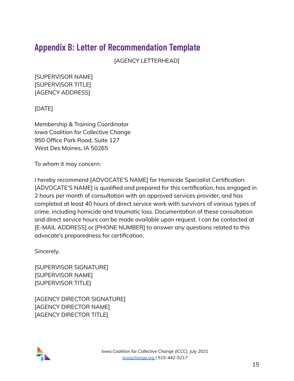## <span id="page-15-0"></span>**Appendix B: Letter of Recommendation Template**

[AGENCY LETTERHEAD]

[SUPERVISOR NAME] [SUPERVISOR TITLE] [AGENCY ADDRESS]

#### [DATE]

Membership & Training Coordinator Iowa Coalition for Collective Change 950 Office Park Road, Suite 127 West Des Moines, IA 50265

To whom it may concern:

I hereby recommend [ADVOCATE'S NAME] for Homicide Specialist Certification. [ADVOCATE'S NAME] is qualified and prepared for this certification, has engaged in 2 hours per month of consultation with an approved services provider, and has completed at least 40 hours of direct service work with survivors of various types of crime, including homicide and traumatic loss. Documentation of these consultation and direct service hours can be made available upon request. I can be contacted at [E-MAIL ADDRESS] or [PHONE NUMBER] to answer any questions related to this advocate's preparedness for certification.

Sincerely,

[SUPERVISOR SIGNATURE] [SUPERVISOR NAME] [SUPERVISOR TITLE]

[AGENCY DIRECTOR SIGNATURE] [AGENCY DIRECTOR NAME] [AGENCY DIRECTOR TITLE]

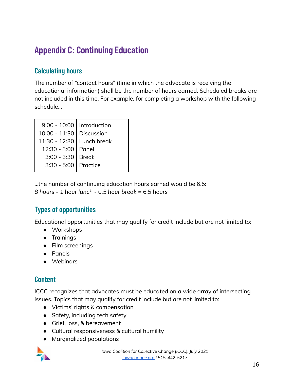## <span id="page-16-0"></span>**Appendix C: Continuing Education**

### <span id="page-16-1"></span>**Calculating hours**

The number of "contact hours" (time in which the advocate is receiving the educational information) shall be the number of hours earned. Scheduled breaks are not included in this time. For example, for completing a workshop with the following schedule...

| 9:00 - 10:00   Introduction |            |
|-----------------------------|------------|
| $10:00 - 11:30$             | Discussion |
| 11:30 - 12:30 Lunch break   |            |
| 12:30 - 3:00   Panel        |            |
| $3:00 - 3:30$               | Break      |
| 3:30 - 5:00 Practice        |            |
|                             |            |

...the number of continuing education hours earned would be 6.5: *8 hours - 1 hour lunch - 0.5 hour break = 6.5 hours*

## <span id="page-16-2"></span>**Types of opportunities**

Educational opportunities that may qualify for credit include but are not limited to:

- Workshops
- Trainings
- Film screenings
- Panels
- Webinars

### <span id="page-16-3"></span>**Content**

ICCC recognizes that advocates must be educated on a wide array of intersecting issues. Topics that may qualify for credit include but are not limited to:

- Victims' rights & compensation
- Safety, including tech safety
- Grief, loss, & bereavement
- Cultural responsiveness & cultural humility
- Marginalized populations